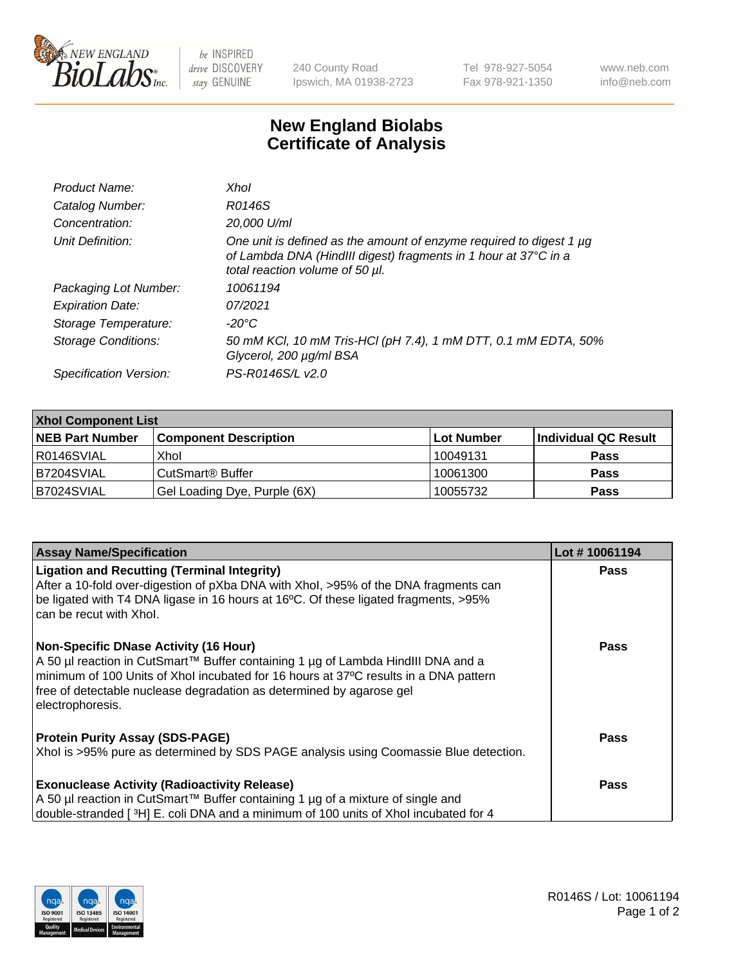

 $be$  INSPIRED drive DISCOVERY stay GENUINE

240 County Road Ipswich, MA 01938-2723 Tel 978-927-5054 Fax 978-921-1350 www.neb.com info@neb.com

## **New England Biolabs Certificate of Analysis**

| Product Name:              | Xhol                                                                                                                                                                      |
|----------------------------|---------------------------------------------------------------------------------------------------------------------------------------------------------------------------|
| Catalog Number:            | R0146S                                                                                                                                                                    |
| Concentration:             | 20,000 U/ml                                                                                                                                                               |
| Unit Definition:           | One unit is defined as the amount of enzyme required to digest 1 µg<br>of Lambda DNA (HindIII digest) fragments in 1 hour at 37°C in a<br>total reaction volume of 50 µl. |
| Packaging Lot Number:      | 10061194                                                                                                                                                                  |
| <b>Expiration Date:</b>    | 07/2021                                                                                                                                                                   |
| Storage Temperature:       | -20°C                                                                                                                                                                     |
| <b>Storage Conditions:</b> | 50 mM KCl, 10 mM Tris-HCl (pH 7.4), 1 mM DTT, 0.1 mM EDTA, 50%<br>Glycerol, 200 µg/ml BSA                                                                                 |
| Specification Version:     | PS-R0146S/L v2.0                                                                                                                                                          |

| <b>Xhol Component List</b> |                              |             |                      |  |  |
|----------------------------|------------------------------|-------------|----------------------|--|--|
| <b>NEB Part Number</b>     | <b>Component Description</b> | ∣Lot Number | Individual QC Result |  |  |
| R0146SVIAL                 | Xhol                         | 10049131    | <b>Pass</b>          |  |  |
| B7204SVIAL                 | CutSmart® Buffer             | 10061300    | <b>Pass</b>          |  |  |
| B7024SVIAL                 | Gel Loading Dye, Purple (6X) | 10055732    | <b>Pass</b>          |  |  |

| <b>Assay Name/Specification</b>                                                                                                                                                                                                                                                                                      | Lot #10061194 |
|----------------------------------------------------------------------------------------------------------------------------------------------------------------------------------------------------------------------------------------------------------------------------------------------------------------------|---------------|
| <b>Ligation and Recutting (Terminal Integrity)</b><br>After a 10-fold over-digestion of pXba DNA with Xhol, >95% of the DNA fragments can                                                                                                                                                                            | <b>Pass</b>   |
| be ligated with T4 DNA ligase in 16 hours at 16°C. Of these ligated fragments, >95%<br>can be recut with Xhol.                                                                                                                                                                                                       |               |
| <b>Non-Specific DNase Activity (16 Hour)</b><br>A 50 µl reaction in CutSmart™ Buffer containing 1 µg of Lambda HindIII DNA and a<br>minimum of 100 Units of Xhol incubated for 16 hours at 37°C results in a DNA pattern<br>free of detectable nuclease degradation as determined by agarose gel<br>electrophoresis. | <b>Pass</b>   |
| <b>Protein Purity Assay (SDS-PAGE)</b>                                                                                                                                                                                                                                                                               | <b>Pass</b>   |
| Xhol is >95% pure as determined by SDS PAGE analysis using Coomassie Blue detection.                                                                                                                                                                                                                                 |               |
| <b>Exonuclease Activity (Radioactivity Release)</b>                                                                                                                                                                                                                                                                  | Pass          |
| A 50 µl reaction in CutSmart™ Buffer containing 1 µg of a mixture of single and                                                                                                                                                                                                                                      |               |
| double-stranded [3H] E. coli DNA and a minimum of 100 units of Xhol incubated for 4                                                                                                                                                                                                                                  |               |